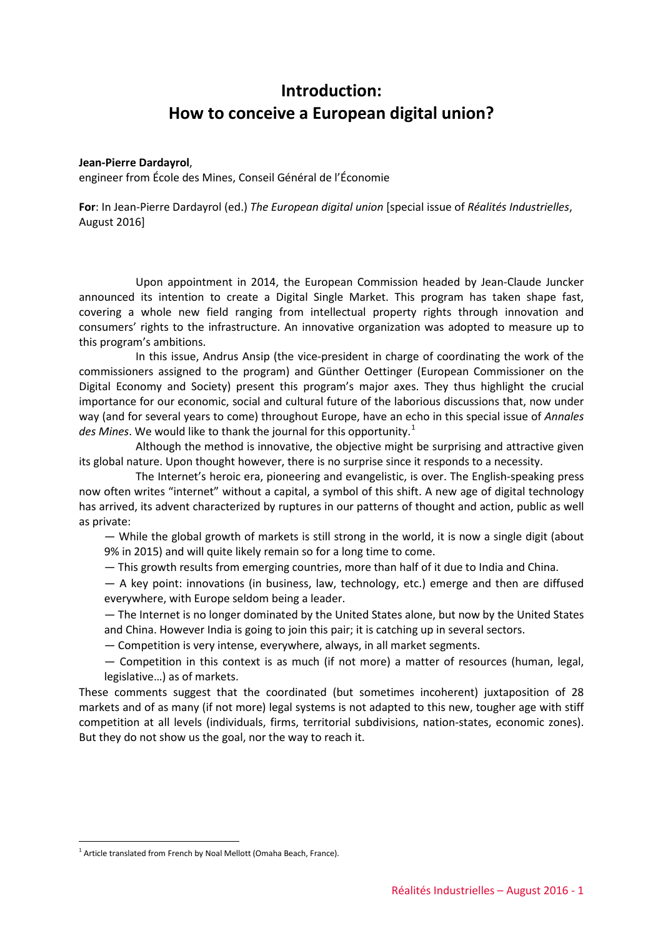## **Introduction: How to conceive a European digital union?**

## **Jean-Pierre Dardayrol**,

engineer from École des Mines, Conseil Général de l'Économie

**For**: In Jean-Pierre Dardayrol (ed.) *The European digital union* [special issue of *Réalités Industrielles*, August 2016]

Upon appointment in 2014, the European Commission headed by Jean-Claude Juncker announced its intention to create a Digital Single Market. This program has taken shape fast, covering a whole new field ranging from intellectual property rights through innovation and consumers' rights to the infrastructure. An innovative organization was adopted to measure up to this program's ambitions.

In this issue, Andrus Ansip (the vice-president in charge of coordinating the work of the commissioners assigned to the program) and Günther Oettinger (European Commissioner on the Digital Economy and Society) present this program's major axes. They thus highlight the crucial importance for our economic, social and cultural future of the laborious discussions that, now under way (and for several years to come) throughout Europe, have an echo in this special issue of *Annales*  des Mines. We would like to thank the journal for this opportunity.<sup>[1](#page-0-0)</sup>

Although the method is innovative, the objective might be surprising and attractive given its global nature. Upon thought however, there is no surprise since it responds to a necessity.

The Internet's heroic era, pioneering and evangelistic, is over. The English-speaking press now often writes "internet" without a capital, a symbol of this shift. A new age of digital technology has arrived, its advent characterized by ruptures in our patterns of thought and action, public as well as private:

— While the global growth of markets is still strong in the world, it is now a single digit (about 9% in 2015) and will quite likely remain so for a long time to come.

— This growth results from emerging countries, more than half of it due to India and China.

— A key point: innovations (in business, law, technology, etc.) emerge and then are diffused everywhere, with Europe seldom being a leader.

— The Internet is no longer dominated by the United States alone, but now by the United States and China. However India is going to join this pair; it is catching up in several sectors.

— Competition is very intense, everywhere, always, in all market segments.

— Competition in this context is as much (if not more) a matter of resources (human, legal, legislative…) as of markets.

These comments suggest that the coordinated (but sometimes incoherent) juxtaposition of 28 markets and of as many (if not more) legal systems is not adapted to this new, tougher age with stiff competition at all levels (individuals, firms, territorial subdivisions, nation-states, economic zones). But they do not show us the goal, nor the way to reach it.

-

<span id="page-0-0"></span><sup>&</sup>lt;sup>1</sup> Article translated from French by Noal Mellott (Omaha Beach, France).